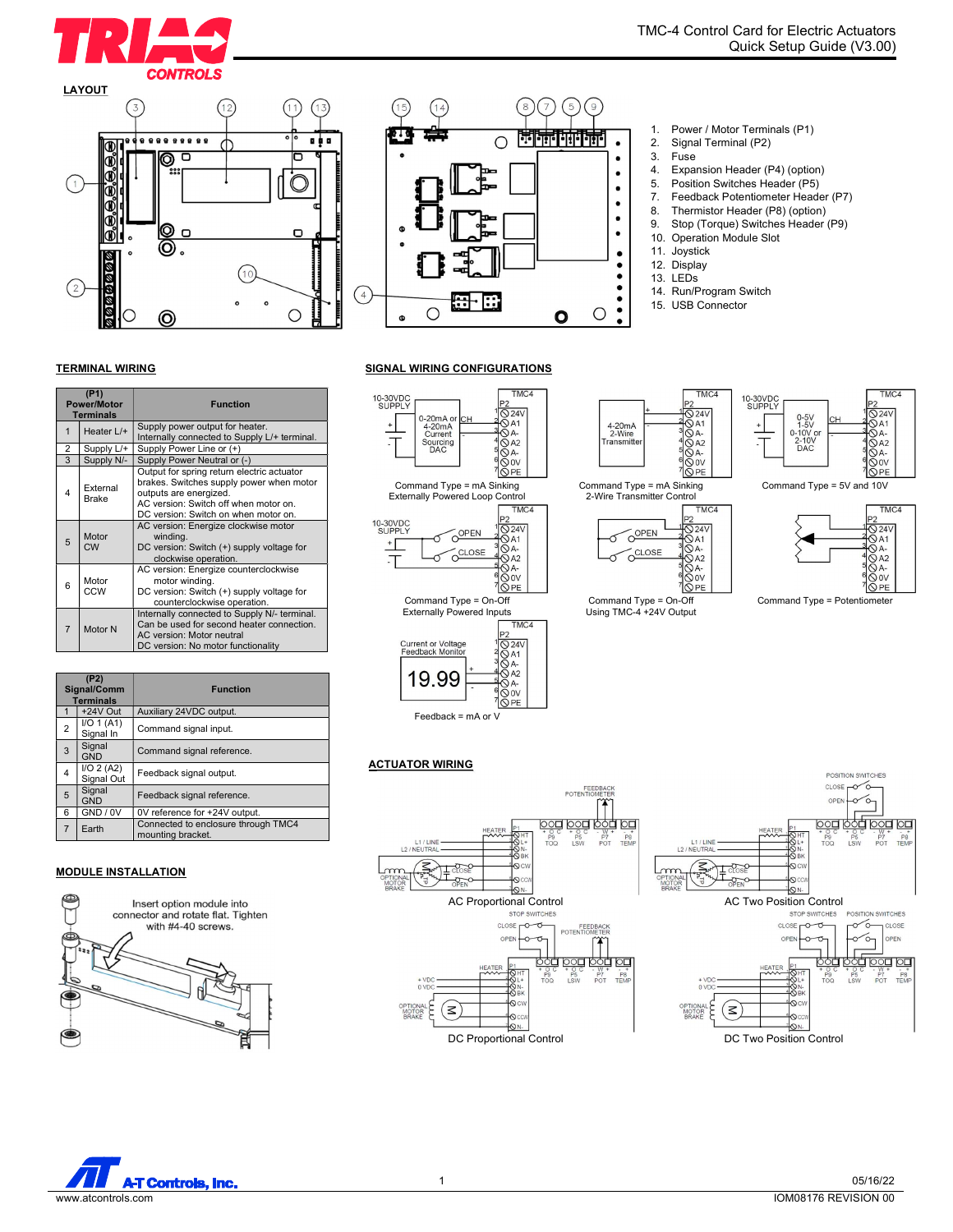





# 1. Power / Motor Terminals (P1)<br>2. Signal Terminal (P2)

- Signal Terminal (P2)
- 3. Fuse<br>4 Fxna
- Expansion Header (P4) (option)
- 5. Position Switches Header (P5)<br>7. Feedback Potentiometer Heade
- Feedback Potentiometer Header (P7)
- 8. Thermistor Header (P8) (option)
- 9. Stop (Torque) Switches Header (P9)
- 10. Operation Module Slot
- 11. Joystick
- 12. Display
- 13. LEDs
- 14. Run/Program Switch
- 15. USB Connector

**TMC** 

## TERMINAL WIRING

| (P1)<br><b>Power/Motor</b><br><b>Terminals</b> |                                                                                                                                                     | <b>Function</b>                                                                                                                                                                                   |
|------------------------------------------------|-----------------------------------------------------------------------------------------------------------------------------------------------------|---------------------------------------------------------------------------------------------------------------------------------------------------------------------------------------------------|
| $\mathbf{1}$                                   | Heater L/+                                                                                                                                          | Supply power output for heater.<br>Internally connected to Supply L/+ terminal.                                                                                                                   |
| 2                                              | Supply L/+                                                                                                                                          | Supply Power Line or (+)                                                                                                                                                                          |
| 3                                              | Supply N/-                                                                                                                                          | Supply Power Neutral or (-)                                                                                                                                                                       |
| 4                                              | External<br><b>Brake</b>                                                                                                                            | Output for spring return electric actuator<br>brakes. Switches supply power when motor<br>outputs are energized.<br>AC version: Switch off when motor on.<br>DC version: Switch on when motor on. |
| 5                                              | Motor<br><b>CW</b>                                                                                                                                  | AC version: Energize clockwise motor<br>winding.<br>DC version: Switch (+) supply voltage for<br>clockwise operation.                                                                             |
| 6                                              | AC version: Energize counterclockwise<br>Motor<br>motor winding.<br>CCW<br>DC version: Switch (+) supply voltage for<br>counterclockwise operation. |                                                                                                                                                                                                   |
| $\overline{7}$                                 | Motor N                                                                                                                                             | Internally connected to Supply N/- terminal.<br>Can be used for second heater connection.<br>AC version: Motor neutral<br>DC version: No motor functionality                                      |

| (P2)<br>Signal/Comm<br><b>Terminals</b> |                          | <b>Function</b>                                          |
|-----------------------------------------|--------------------------|----------------------------------------------------------|
|                                         | +24V Out                 | Auxiliary 24VDC output.                                  |
| 2                                       | I/O 1 (A1)<br>Signal In  | Command signal input.                                    |
| 3                                       | Signal<br><b>GND</b>     | Command signal reference.                                |
| 4                                       | I/O 2 (A2)<br>Signal Out | Feedback signal output.                                  |
| 5                                       | Signal<br><b>GND</b>     | Feedback signal reference.                               |
| 6                                       | GND / 0V                 | 0V reference for +24V output.                            |
| $\overline{7}$                          | Earth                    | Connected to enclosure through TMC4<br>mounting bracket. |

### MODULE INSTALLATION



**TMC** 

SIGNAL WIRING CONFIGURATIONS







Command Type = On-Off Using TMC-4 +24V Output







POSITION SWITCHES

Command Type = Potentiometer

## **ACTUATOR WIRING**